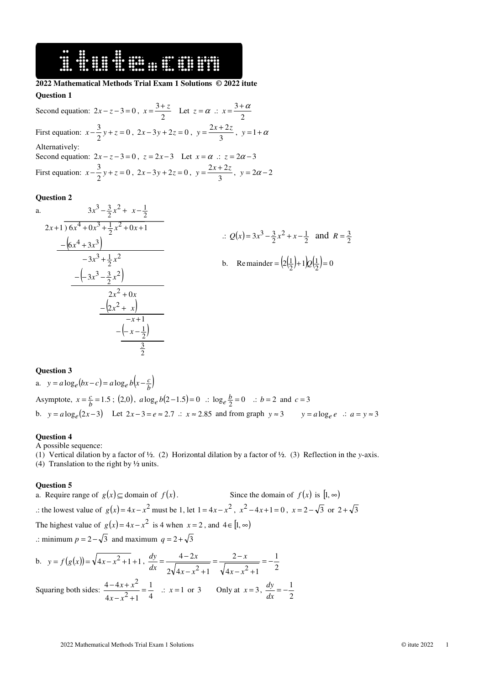# 16 SHIPS SHOW SHIPS

# **2022 Mathematical Methods Trial Exam 1 Solutions © 2022 itute**

# **Question 1**

Second equation:  $2x - z - 3 = 0$ ,  $x = \frac{3}{2}$  $x = \frac{3+z}{2}$  Let  $z = \alpha$  :  $x = \frac{3+z}{2}$  $x=\frac{3+\alpha}{2}$ First equation:  $x - \frac{3}{2}y + z = 0$  $x - \frac{3}{2}y + z = 0$ ,  $2x - 3y + 2z = 0$ ,  $y = \frac{2x + 3}{3}$  $y = \frac{2x+2z}{2}$ ,  $y = 1+\alpha$ Alternatively: Second equation:  $2x - z - 3 = 0$ ,  $z = 2x - 3$  Let  $x = \alpha$  .:  $z = 2\alpha - 3$ First equation:  $x - \frac{3}{2}y + z = 0$  $x - \frac{3}{2}y + z = 0$ ,  $2x - 3y + 2z = 0$ ,  $y = \frac{2x + 3}{3}$  $y = \frac{2x + 2z}{2}$ ,  $y = 2a - 2$ 

#### **Question 2**

a. 
$$
3x^3 - \frac{3}{2}x^2 + x - \frac{1}{2}
$$
  
\n
$$
2x+1) 6x^4 + 0x^3 + \frac{1}{2}x^2 + 0x + 1
$$
  
\n
$$
-6x^4 + 3x^3
$$
  
\n
$$
-3x^3 + \frac{1}{2}x^2
$$
  
\n
$$
-(-3x^3 - \frac{3}{2}x^2)
$$
  
\n
$$
2x^2 + 0x
$$
  
\n
$$
-2x^2 + x
$$
  
\n
$$
-x + 1
$$
  
\n
$$
-\frac{1}{2}
$$
  
\n
$$
x^2 + x
$$
  
\n
$$
x^2 + 2x
$$
  
\n
$$
x = \frac{2}{2}
$$
  
\n
$$
x = \frac{2(1)}{2} + 12(\frac{1}{2}) = 0
$$
  
\n
$$
x = \frac{2}{2}
$$
  
\n
$$
x = \frac{2}{2}
$$
  
\n
$$
x = \frac{2}{2}
$$
  
\n
$$
x = \frac{2}{2}
$$
  
\n
$$
x = \frac{2}{2}
$$
  
\n
$$
x = \frac{2}{2}
$$
  
\n
$$
x = \frac{2}{2}
$$
  
\n
$$
x = \frac{2}{2}
$$
  
\n
$$
x = \frac{2}{2}
$$
  
\n
$$
x = \frac{2}{2}
$$
  
\n
$$
x = \frac{2}{2}
$$
  
\n
$$
x = \frac{2}{2}
$$
  
\n
$$
x = \frac{2}{2}
$$
  
\n
$$
x = \frac{2}{2}
$$
  
\n
$$
x = \frac{2}{2}
$$
  
\n
$$
x = \frac{2}{2}
$$
  
\n
$$
x = \frac{2}{2}
$$
  
\n
$$
x = \frac{2}{2}
$$
  
\n
$$
x = \frac{2}{2}
$$
  
\n
$$
x = \frac{2}{2}
$$
  
\n
$$
x = \frac{2}{2}
$$
  
\n
$$
x = \frac{2}{
$$

#### **Question 3**

a. 
$$
y = a \log_e (bx - c) = a \log_e b(x - \frac{c}{b})
$$
  
\nAsymptote,  $x = \frac{c}{b} = 1.5$ ; (2,0),  $a \log_e b(2-1.5) = 0$  :  $\log_e \frac{b}{2} = 0$  :  $b = 2$  and  $c = 3$   
\nb.  $y = a \log_e (2x - 3)$  Let  $2x - 3 = e \approx 2.7$  :  $x \approx 2.85$  and from graph  $y \approx 3$   $y = a \log_e e$  :  $a = y \approx 3$ 

#### **Question 4**

A possible sequence:

(1) Vertical dilation by a factor of ½. (2) Horizontal dilation by a factor of ½. (3) Reflection in the *y*-axis.

(4) Translation to the right by ½ units.

## **Question 5**

a. Require range of  $g(x) \subseteq \text{domain of } f(x)$ . Since the domain of  $f(x)$  is  $[1, \infty)$ .: the lowest value of  $g(x) = 4x - x^2$  must be 1, let  $1 = 4x - x^2$ ,  $x^2 - 4x + 1 = 0$ ,  $x = 2 - \sqrt{3}$  or  $2 + \sqrt{3}$ The highest value of  $g(x) = 4x - x^2$  is 4 when  $x = 2$ , and  $4 \in [1, \infty)$ .: minimum  $p = 2 - \sqrt{3}$  and maximum  $q = 2 + \sqrt{3}$ 

b. 
$$
y = f(g(x)) = \sqrt{4x - x^2 + 1} + 1
$$
,  $\frac{dy}{dx} = \frac{4 - 2x}{2\sqrt{4x - x^2 + 1}} = \frac{2 - x}{\sqrt{4x - x^2 + 1}} = -\frac{1}{2}$   
Squaring both sides:  $\frac{4 - 4x + x^2}{4x - x^2 + 1} = \frac{1}{4}$   $\therefore x = 1$  or 3 Only at  $x = 3$ ,  $\frac{dy}{dx} = -\frac{1}{2}$